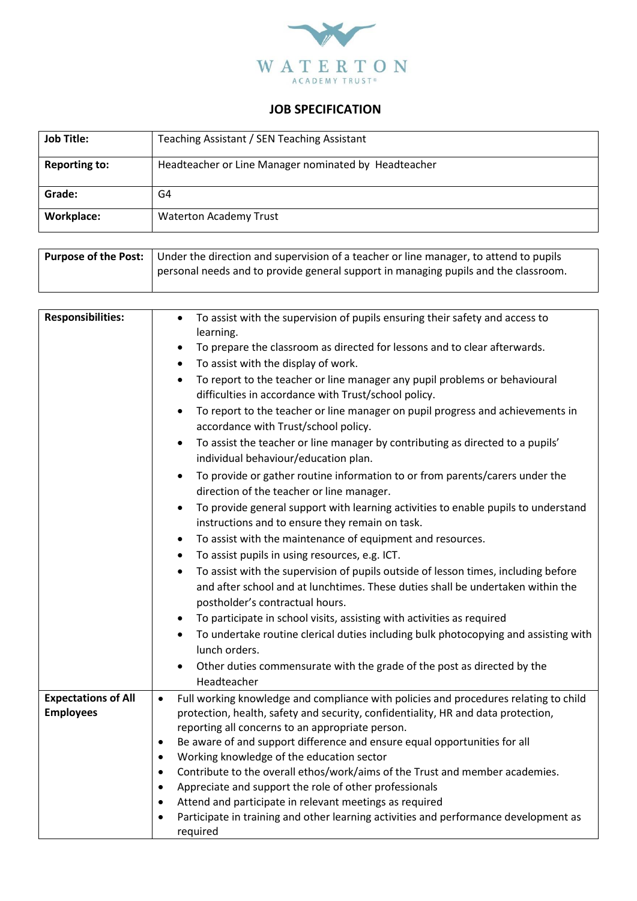

## **JOB SPECIFICATION**

| <b>Job Title:</b>    | Teaching Assistant / SEN Teaching Assistant          |
|----------------------|------------------------------------------------------|
| <b>Reporting to:</b> | Headteacher or Line Manager nominated by Headteacher |
| Grade:               | G4                                                   |
| <b>Workplace:</b>    | <b>Waterton Academy Trust</b>                        |

| <b>Purpose of the Post:</b> Under the direction and supervision of a teacher or line manager, to attend to pupils |
|-------------------------------------------------------------------------------------------------------------------|
| personal needs and to provide general support in managing pupils and the classroom.                               |

| <b>Responsibilities:</b>   | To assist with the supervision of pupils ensuring their safety and access to<br>$\bullet$<br>learning. |
|----------------------------|--------------------------------------------------------------------------------------------------------|
|                            | To prepare the classroom as directed for lessons and to clear afterwards.<br>$\bullet$                 |
|                            | To assist with the display of work.<br>$\bullet$                                                       |
|                            | To report to the teacher or line manager any pupil problems or behavioural<br>$\bullet$                |
|                            | difficulties in accordance with Trust/school policy.                                                   |
|                            | To report to the teacher or line manager on pupil progress and achievements in                         |
|                            | accordance with Trust/school policy.                                                                   |
|                            | To assist the teacher or line manager by contributing as directed to a pupils'<br>$\bullet$            |
|                            | individual behaviour/education plan.                                                                   |
|                            | To provide or gather routine information to or from parents/carers under the<br>$\bullet$              |
|                            | direction of the teacher or line manager.                                                              |
|                            | To provide general support with learning activities to enable pupils to understand<br>$\bullet$        |
|                            | instructions and to ensure they remain on task.                                                        |
|                            | To assist with the maintenance of equipment and resources.<br>$\bullet$                                |
|                            | To assist pupils in using resources, e.g. ICT.<br>$\bullet$                                            |
|                            | To assist with the supervision of pupils outside of lesson times, including before<br>$\bullet$        |
|                            | and after school and at lunchtimes. These duties shall be undertaken within the                        |
|                            | postholder's contractual hours.                                                                        |
|                            | To participate in school visits, assisting with activities as required                                 |
|                            | To undertake routine clerical duties including bulk photocopying and assisting with                    |
|                            | lunch orders.                                                                                          |
|                            | Other duties commensurate with the grade of the post as directed by the                                |
|                            | Headteacher                                                                                            |
| <b>Expectations of All</b> | Full working knowledge and compliance with policies and procedures relating to child<br>$\bullet$      |
| <b>Employees</b>           | protection, health, safety and security, confidentiality, HR and data protection,                      |
|                            | reporting all concerns to an appropriate person.                                                       |
|                            | Be aware of and support difference and ensure equal opportunities for all<br>$\bullet$                 |
|                            | Working knowledge of the education sector<br>$\bullet$                                                 |
|                            | Contribute to the overall ethos/work/aims of the Trust and member academies.<br>$\bullet$              |
|                            | Appreciate and support the role of other professionals<br>$\bullet$                                    |
|                            | Attend and participate in relevant meetings as required<br>$\bullet$                                   |
|                            | Participate in training and other learning activities and performance development as<br>$\bullet$      |
|                            | required                                                                                               |